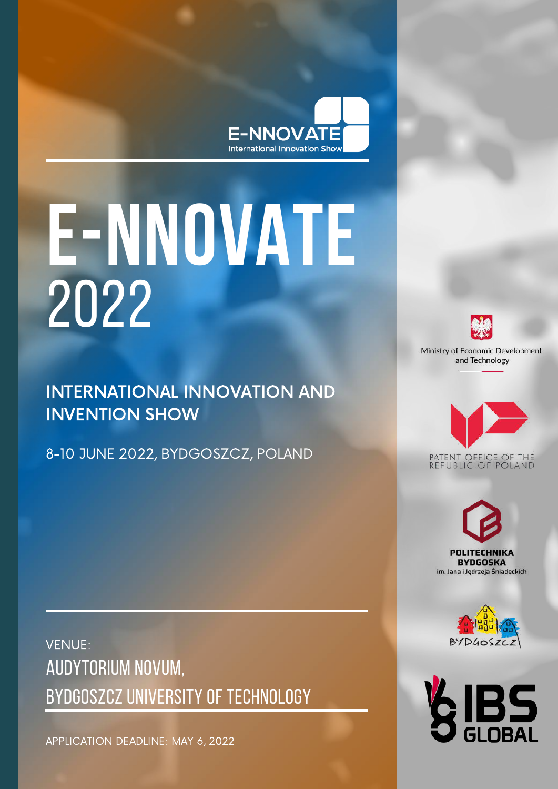

# **E-NNOVATE** 2022

INTERNATIONAL INNOVATION AND INVENTION SHOW

8-10 JUNE 2022, BYDGOSZCZ, POLAND



Ministry of Economic Development and Technology









AUDYTORIUM NOVUM, BYDGOSZCZ UNIVERSITY OF TECHNOLOGY VENUE:

APPLICATION DEADLINE: MAY 6, 2022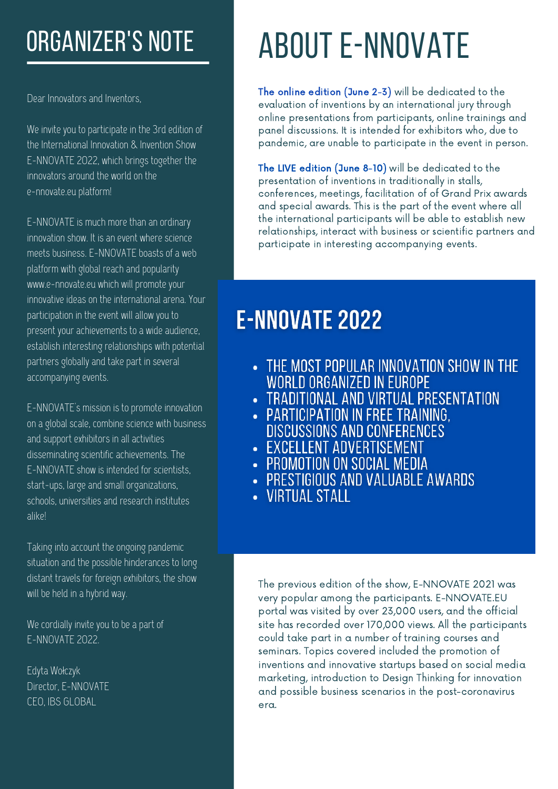# ORGANIZER'S NOTE

Dear Innovators and Inventors,

We invite you to participate in the 3rd edition of the International Innovation & Invention Show E-NNOVATE 2022, which brings together the innovators around the world on the e-nnovate.eu platform!

E-NNOVATE is much more than an ordinary innovation show. It is an event where science meets business. E-NNOVATE boasts of a web platform with global reach and popularity www.e-nnovate.eu which will promote your innovative ideas on the international arena. Your participation in the event will allow you to present your achievements to a wide audience, establish interesting relationships with potential partners globally and take part in several accompanying events.

E-NNOVATE's mission is to promote innovation on a global scale, combine science with business and support exhibitors in all activities disseminating scientific achievements. The E-NNOVATE show is intended for scientists, start-ups, large and small organizations, schools, universities and research institutes alike!

Taking into account the ongoing pandemic situation and the possible hinderances to long distant travels for foreign exhibitors, the show will be held in a hybrid way.

We cordially invite you to be a part of E-NNOVATE 2022.

Edyta Wołczyk Director, E-NNOVATE CEO, IBS GLOBAL

# ABOUT E-NNOVATE

The online edition (June 2-3) will be dedicated to the evaluation of inventions by an international jury through online presentations from participants, online trainings and panel discussions. It is intended for exhibitors who, due to pandemic, are unable to participate in the event in person.

The LIVE edition (June 8-10) will be dedicated to the presentation of inventions in traditionally in stalls, conferences, meetings, facilitation of of Grand Prix awards and special awards. This is the part of the event where all the international participants will be able to establish new relationships, interact with business or scientific partners and participate in interesting accompanying events.

## **E-NNOVATE 2022**

- THE MOST POPULAR INNOVATION SHOW IN THE WORLD ORGANIZED IN EUROPE
- TRADITIONAL AND VIRTUAL PRESENTATION
- PARTICIPATION IN FREE TRAINING, **DISCUSSIONS AND CONFERENCES**
- EXCELLENT ADVERTISEMENT
- PROMOTION ON SOCIAL MEDIA
- **PRESTIGIOUS AND VALUABLE AWARDS**
- VIRTUAL STALL

The previous edition of the show, E-NNOVATE 2021 was very popular among the participants. E-NNOVATE.EU portal was visited by over 23,000 users, and the official site has recorded over 170,000 views. All the participants could take part in a number of training courses and seminars. Topics covered included the promotion of inventions and innovative startups based on social media marketing, introduction to Design Thinking for innovation and possible business scenarios in the post-coronavirus era.